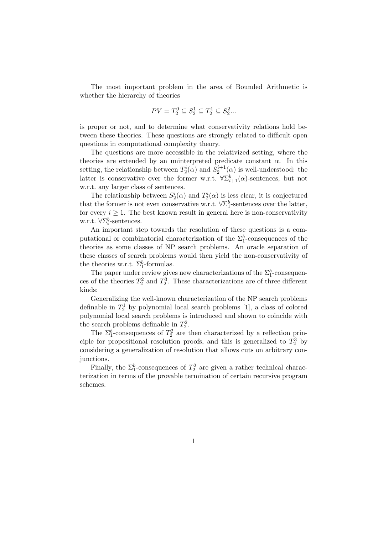The most important problem in the area of Bounded Arithmetic is whether the hierarchy of theories

$$
PV = T_2^0 \subseteq S_2^1 \subseteq T_2^1 \subseteq S_2^2...
$$

is proper or not, and to determine what conservativity relations hold between these theories. These questions are strongly related to difficult open questions in computational complexity theory.

The questions are more accessible in the relativized setting, where the theories are extended by an uninterpreted predicate constant  $\alpha$ . In this setting, the relationship between  $T_2^i(\alpha)$  and  $S_2^{i+1}(\alpha)$  is well-understood: the latter is conservative over the former w.r.t.  $\forall \sum_{i=1}^{b} (\alpha)$ -sentences, but not w.r.t. any larger class of sentences.

The relationship between  $S_2^i(\alpha)$  and  $T_2^i(\alpha)$  is less clear, it is conjectured that the former is not even conservative w.r.t.  $\forall \Sigma_1^b$ -sentences over the latter, for every  $i \geq 1$ . The best known result in general here is non-conservativity w.r.t.  $\forall \Sigma_i^b$ -sentences.

An important step towards the resolution of these questions is a computational or combinatorial characterization of the  $\Sigma_1^b$ -consequences of the theories as some classes of NP search problems. An oracle separation of these classes of search problems would then yield the non-conservativity of the theories w.r.t.  $\Sigma_1^b$ -formulas.

The paper under review gives new characterizations of the  $\Sigma_1^b$ -consequences of the theories  $T_2^2$  and  $T_2^3$ . These characterizations are of three different kinds:

Generalizing the well-known characterization of the NP search problems definable in  $T_2^1$  by polynomial local search problems [1], a class of colored polynomial local search problems is introduced and shown to coincide with the search problems definable in  $T_2^2$ .

The  $\Sigma_1^b$ -consequences of  $T_2^2$  are then characterized by a reflection principle for propositional resolution proofs, and this is generalized to  $T_2^3$  by considering a generalization of resolution that allows cuts on arbitrary conjunctions.

Finally, the  $\Sigma_1^b$ -consequences of  $T_2^2$  are given a rather technical characterization in terms of the provable termination of certain recursive program schemes.